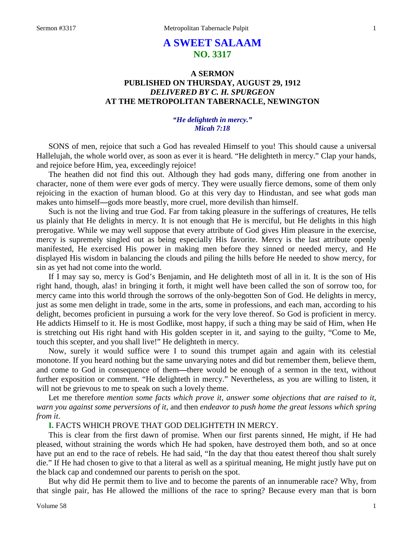# **A SWEET SALAAM NO. 3317**

## **A SERMON PUBLISHED ON THURSDAY, AUGUST 29, 1912** *DELIVERED BY C. H. SPURGEON* **AT THE METROPOLITAN TABERNACLE, NEWINGTON**

### *"He delighteth in mercy." Micah 7:18*

SONS of men, rejoice that such a God has revealed Himself to you! This should cause a universal Hallelujah, the whole world over, as soon as ever it is heard. "He delighteth in mercy." Clap your hands, and rejoice before Him, yea, exceedingly rejoice!

The heathen did not find this out. Although they had gods many, differing one from another in character, none of them were ever gods of mercy. They were usually fierce demons, some of them only rejoicing in the exaction of human blood. Go at this very day to Hindustan, and see what gods man makes unto himself**—**gods more beastly, more cruel, more devilish than himself.

Such is not the living and true God. Far from taking pleasure in the sufferings of creatures, He tells us plainly that He delights in mercy. It is not enough that He is merciful, but He delights in this high prerogative. While we may well suppose that every attribute of God gives Him pleasure in the exercise, mercy is supremely singled out as being especially His favorite. Mercy is the last attribute openly manifested, He exercised His power in making men before they sinned or needed mercy, and He displayed His wisdom in balancing the clouds and piling the hills before He needed to show mercy, for sin as yet had not come into the world.

If I may say so, mercy is God's Benjamin, and He delighteth most of all in it. It is the son of His right hand, though, alas! in bringing it forth, it might well have been called the son of sorrow too, for mercy came into this world through the sorrows of the only-begotten Son of God. He delights in mercy, just as some men delight in trade, some in the arts, some in professions, and each man, according to his delight, becomes proficient in pursuing a work for the very love thereof. So God is proficient in mercy. He addicts Himself to it. He is most Godlike, most happy, if such a thing may be said of Him, when He is stretching out His right hand with His golden scepter in it, and saying to the guilty, "Come to Me, touch this scepter, and you shall live!" He delighteth in mercy.

Now, surely it would suffice were I to sound this trumpet again and again with its celestial monotone. If you heard nothing but the same unvarying notes and did but remember them, believe them, and come to God in consequence of them**—**there would be enough of a sermon in the text, without further exposition or comment. "He delighteth in mercy." Nevertheless, as you are willing to listen, it will not be grievous to me to speak on such a lovely theme.

Let me therefore *mention some facts which prove it, answer some objections that are raised to it, warn you against some perversions of it,* and then *endeavor to push home the great lessons which spring from it*.

### **I.** FACTS WHICH PROVE THAT GOD DELIGHTETH IN MERCY.

This is clear from the first dawn of promise. When our first parents sinned, He might, if He had pleased, without straining the words which He had spoken, have destroyed them both, and so at once have put an end to the race of rebels. He had said, "In the day that thou eatest thereof thou shalt surely die." If He had chosen to give to that a literal as well as a spiritual meaning, He might justly have put on the black cap and condemned our parents to perish on the spot.

But why did He permit them to live and to become the parents of an innumerable race? Why, from that single pair, has He allowed the millions of the race to spring? Because every man that is born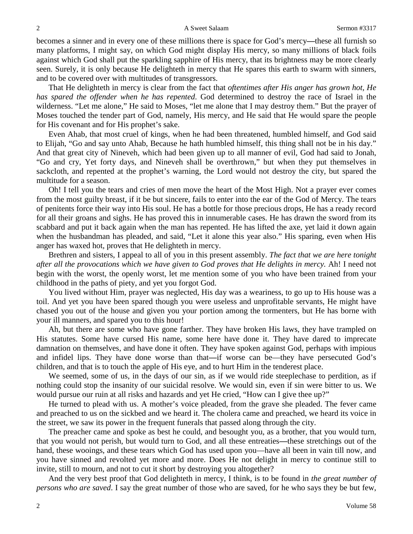becomes a sinner and in every one of these millions there is space for God's mercy**—**these all furnish so many platforms, I might say, on which God might display His mercy, so many millions of black foils against which God shall put the sparkling sapphire of His mercy, that its brightness may be more clearly seen. Surely, it is only because He delighteth in mercy that He spares this earth to swarm with sinners, and to be covered over with multitudes of transgressors.

That He delighteth in mercy is clear from the fact that *oftentimes after His anger has grown hot, He has spared the offender when he has repented*. God determined to destroy the race of Israel in the wilderness. "Let me alone," He said to Moses, "let me alone that I may destroy them." But the prayer of Moses touched the tender part of God, namely, His mercy, and He said that He would spare the people for His covenant and for His prophet's sake.

Even Ahab, that most cruel of kings, when he had been threatened, humbled himself, and God said to Elijah, "Go and say unto Ahab, Because he hath humbled himself, this thing shall not be in his day." And that great city of Nineveh, which had been given up to all manner of evil, God had said to Jonah, "Go and cry, Yet forty days, and Nineveh shall be overthrown," but when they put themselves in sackcloth, and repented at the prophet's warning, the Lord would not destroy the city, but spared the multitude for a season.

Oh! I tell you the tears and cries of men move the heart of the Most High. Not a prayer ever comes from the most guilty breast, if it be but sincere, fails to enter into the ear of the God of Mercy. The tears of penitents force their way into His soul. He has a bottle for those precious drops, He has a ready record for all their groans and sighs. He has proved this in innumerable cases. He has drawn the sword from its scabbard and put it back again when the man has repented. He has lifted the axe, yet laid it down again when the husbandman has pleaded, and said, "Let it alone this year also." His sparing, even when His anger has waxed hot, proves that He delighteth in mercy.

Brethren and sisters, I appeal to all of you in this present assembly. *The fact that we are here tonight after all the provocations which we have given to God proves that He delights in mercy.* Ah! I need not begin with the worst, the openly worst, let me mention some of you who have been trained from your childhood in the paths of piety, and yet you forgot God.

You lived without Him, prayer was neglected, His day was a weariness, to go up to His house was a toil. And yet you have been spared though you were useless and unprofitable servants, He might have chased you out of the house and given you your portion among the tormenters, but He has borne with your ill manners, and spared you to this hour!

Ah, but there are some who have gone farther. They have broken His laws, they have trampled on His statutes. Some have cursed His name, some here have done it. They have dared to imprecate damnation on themselves, and have done it often. They have spoken against God, perhaps with impious and infidel lips. They have done worse than that**—**if worse can be—they have persecuted God's children, and that is to touch the apple of His eye, and to hurt Him in the tenderest place.

We seemed, some of us, in the days of our sin, as if we would ride steeplechase to perdition, as if nothing could stop the insanity of our suicidal resolve. We would sin, even if sin were bitter to us. We would pursue our ruin at all risks and hazards and yet He cried, "How can I give thee up?"

He turned to plead with us. A mother's voice pleaded, from the grave she pleaded. The fever came and preached to us on the sickbed and we heard it. The cholera came and preached, we heard its voice in the street, we saw its power in the frequent funerals that passed along through the city.

The preacher came and spoke as best he could, and besought you, as a brother, that you would turn, that you would not perish, but would turn to God, and all these entreaties**—**these stretchings out of the hand, these wooings, and these tears which God has used upon you—have all been in vain till now, and you have sinned and revolted yet more and more. Does He not delight in mercy to continue still to invite, still to mourn, and not to cut it short by destroying you altogether?

And the very best proof that God delighteth in mercy, I think, is to be found in *the great number of persons who are saved*. I say the great number of those who are saved, for he who says they be but few,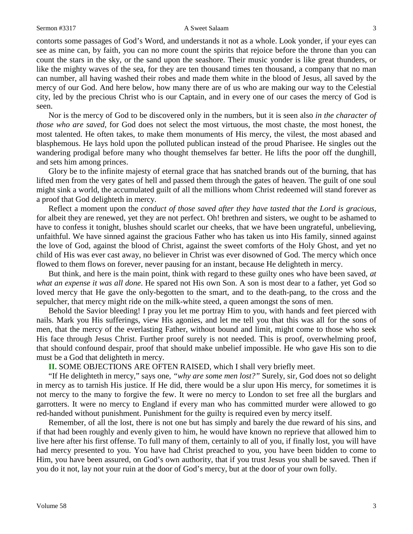contorts some passages of God's Word, and understands it not as a whole. Look yonder, if your eyes can see as mine can, by faith, you can no more count the spirits that rejoice before the throne than you can count the stars in the sky, or the sand upon the seashore. Their music yonder is like great thunders, or like the mighty waves of the sea, for they are ten thousand times ten thousand, a company that no man can number, all having washed their robes and made them white in the blood of Jesus, all saved by the mercy of our God. And here below, how many there are of us who are making our way to the Celestial city, led by the precious Christ who is our Captain, and in every one of our cases the mercy of God is seen.

Nor is the mercy of God to be discovered only in the numbers, but it is seen also *in the character of those who are saved,* for God does not select the most virtuous, the most chaste, the most honest, the most talented. He often takes, to make them monuments of His mercy, the vilest, the most abased and blasphemous. He lays hold upon the polluted publican instead of the proud Pharisee. He singles out the wandering prodigal before many who thought themselves far better. He lifts the poor off the dunghill, and sets him among princes.

Glory be to the infinite majesty of eternal grace that has snatched brands out of the burning, that has lifted men from the very gates of hell and passed them through the gates of heaven. The guilt of one soul might sink a world, the accumulated guilt of all the millions whom Christ redeemed will stand forever as a proof that God delighteth in mercy.

Reflect a moment upon the *conduct of those saved after they have tasted that the Lord is gracious,* for albeit they are renewed, yet they are not perfect. Oh! brethren and sisters, we ought to be ashamed to have to confess it tonight, blushes should scarlet our cheeks, that we have been ungrateful, unbelieving, unfaithful. We have sinned against the gracious Father who has taken us into His family, sinned against the love of God, against the blood of Christ, against the sweet comforts of the Holy Ghost, and yet no child of His was ever cast away, no believer in Christ was ever disowned of God. The mercy which once flowed to them flows on forever, never pausing for an instant, because He delighteth in mercy.

But think, and here is the main point, think with regard to these guilty ones who have been saved, *at what an expense it was all done*. He spared not His own Son. A son is most dear to a father, yet God so loved mercy that He gave the only-begotten to the smart, and to the death-pang, to the cross and the sepulcher, that mercy might ride on the milk-white steed, a queen amongst the sons of men.

Behold the Savior bleeding! I pray you let me portray Him to you, with hands and feet pierced with nails. Mark you His sufferings, view His agonies, and let me tell you that this was all for the sons of men, that the mercy of the everlasting Father, without bound and limit, might come to those who seek His face through Jesus Christ. Further proof surely is not needed. This is proof, overwhelming proof, that should confound despair, proof that should make unbelief impossible. He who gave His son to die must be a God that delighteth in mercy.

**II.** SOME OBJECTIONS ARE OFTEN RAISED, which I shall very briefly meet.

"If He delighteth in mercy," says one, *"why are some men lost?"* Surely, sir, God does not so delight in mercy as to tarnish His justice. If He did, there would be a slur upon His mercy, for sometimes it is not mercy to the many to forgive the few. It were no mercy to London to set free all the burglars and garrotters. It were no mercy to England if every man who has committed murder were allowed to go red-handed without punishment. Punishment for the guilty is required even by mercy itself.

Remember, of all the lost, there is not one but has simply and barely the due reward of his sins, and if that had been roughly and evenly given to him, he would have known no reprieve that allowed him to live here after his first offense. To full many of them, certainly to all of you, if finally lost, you will have had mercy presented to you. You have had Christ preached to you, you have been bidden to come to Him, you have been assured, on God's own authority, that if you trust Jesus you shall be saved. Then if you do it not, lay not your ruin at the door of God's mercy, but at the door of your own folly.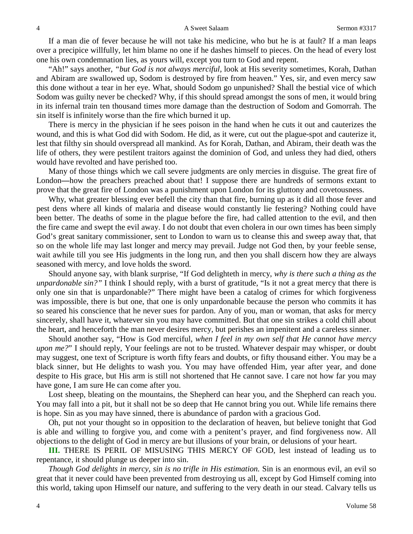If a man die of fever because he will not take his medicine, who but he is at fault? If a man leaps over a precipice willfully, let him blame no one if he dashes himself to pieces. On the head of every lost one his own condemnation lies, as yours will, except you turn to God and repent.

"Ah!" says another, *"but God is not always merciful,* look at His severity sometimes, Korah, Dathan and Abiram are swallowed up, Sodom is destroyed by fire from heaven." Yes, sir, and even mercy saw this done without a tear in her eye. What, should Sodom go unpunished? Shall the bestial vice of which Sodom was guilty never be checked? Why, if this should spread amongst the sons of men, it would bring in its infernal train ten thousand times more damage than the destruction of Sodom and Gomorrah. The sin itself is infinitely worse than the fire which burned it up.

There is mercy in the physician if he sees poison in the hand when he cuts it out and cauterizes the wound, and this is what God did with Sodom. He did, as it were, cut out the plague-spot and cauterize it, lest that filthy sin should overspread all mankind. As for Korah, Dathan, and Abiram, their death was the life of others, they were pestilent traitors against the dominion of God, and unless they had died, others would have revolted and have perished too.

Many of those things which we call severe judgments are only mercies in disguise. The great fire of London**—**how the preachers preached about that! I suppose there are hundreds of sermons extant to prove that the great fire of London was a punishment upon London for its gluttony and covetousness.

Why, what greater blessing ever befell the city than that fire, burning up as it did all those fever and pest dens where all kinds of malaria and disease would constantly lie festering? Nothing could have been better. The deaths of some in the plague before the fire, had called attention to the evil, and then the fire came and swept the evil away. I do not doubt that even cholera in our own times has been simply God's great sanitary commissioner, sent to London to warn us to cleanse this and sweep away that, that so on the whole life may last longer and mercy may prevail. Judge not God then, by your feeble sense, wait awhile till you see His judgments in the long run, and then you shall discern how they are always seasoned with mercy, and love holds the sword.

Should anyone say, with blank surprise, "If God delighteth in mercy, *why is there such a thing as the unpardonable sin?"* I think I should reply, with a burst of gratitude, "Is it not a great mercy that there is only one sin that is unpardonable?" There might have been a catalog of crimes for which forgiveness was impossible, there is but one, that one is only unpardonable because the person who commits it has so seared his conscience that he never sues for pardon. Any of you, man or woman, that asks for mercy sincerely, shall have it, whatever sin you may have committed. But that one sin strikes a cold chill about the heart, and henceforth the man never desires mercy, but perishes an impenitent and a careless sinner.

Should another say, "How is God merciful, *when I feel in my own self that He cannot have mercy upon me?*" I should reply, Your feelings are not to be trusted. Whatever despair may whisper, or doubt may suggest, one text of Scripture is worth fifty fears and doubts, or fifty thousand either. You may be a black sinner, but He delights to wash you. You may have offended Him, year after year, and done despite to His grace, but His arm is still not shortened that He cannot save. I care not how far you may have gone, I am sure He can come after you.

Lost sheep, bleating on the mountains, the Shepherd can hear you, and the Shepherd can reach you. You may fall into a pit, but it shall not be so deep that He cannot bring you out. While life remains there is hope. Sin as you may have sinned, there is abundance of pardon with a gracious God.

Oh, put not your thought so in opposition to the declaration of heaven, but believe tonight that God is able and willing to forgive you, and come with a penitent's prayer, and find forgiveness now. All objections to the delight of God in mercy are but illusions of your brain, or delusions of your heart.

**III.** THERE IS PERIL OF MISUSING THIS MERCY OF GOD, lest instead of leading us to repentance, it should plunge us deeper into sin.

*Though God delights in mercy, sin is no trifle in His estimation.* Sin is an enormous evil, an evil so great that it never could have been prevented from destroying us all, except by God Himself coming into this world, taking upon Himself our nature, and suffering to the very death in our stead. Calvary tells us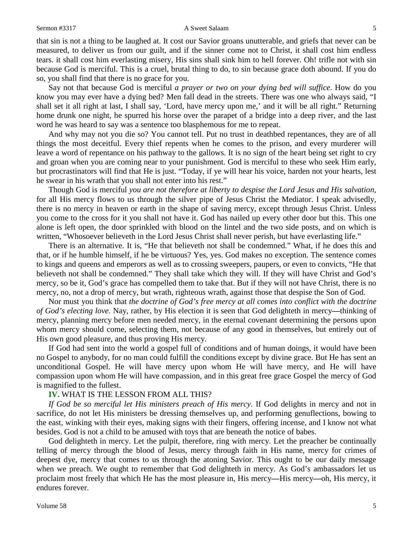#### Sermon #3317 **A** Sweet Salaam 5

that sin is not a thing to be laughed at. It cost our Savior groans unutterable, and griefs that never can be measured, to deliver us from our guilt, and if the sinner come not to Christ, it shall cost him endless tears. it shall cost him everlasting misery, His sins shall sink him to hell forever. Oh! trifle not with sin because God is merciful. This is a cruel, brutal thing to do, to sin because grace doth abound. If you do so, you shall find that there is no grace for you.

Say not that because God is merciful *a prayer or two on your dying bed will suffice*. How do you know you may ever have a dying bed? Men fall dead in the streets. There was one who always said, "I shall set it all right at last, I shall say, 'Lord, have mercy upon me,' and it will be all right." Returning home drunk one night, he spurred his horse over the parapet of a bridge into a deep river, and the last word he was heard to say was a sentence too blasphemous for me to repeat.

And why may not you die so? You cannot tell. Put no trust in deathbed repentances, they are of all things the most deceitful. Every thief repents when he comes to the prison, and every murderer will leave a word of repentance on his pathway to the gallows. It is no sign of the heart being set right to cry and groan when you are coming near to your punishment. God is merciful to these who seek Him early, but procrastinators will find that He is just. "Today, if ye will hear his voice, harden not your hearts, lest he swear in his wrath that you shall not enter into his rest."

Though God is merciful *you are not therefore at liberty to despise the Lord Jesus and His salvation,* for all His mercy flows to us through the silver pipe of Jesus Christ the Mediator. I speak advisedly, there is no mercy in heaven or earth in the shape of saving mercy, except through Jesus Christ. Unless you come to the cross for it you shall not have it. God has nailed up every other door but this. This one alone is left open, the door sprinkled with blood on the lintel and the two side posts, and on which is written, "Whosoever believeth in the Lord Jesus Christ shall never perish, but have everlasting life."

There is an alternative. It is, "He that believeth not shall be condemned." What, if he does this and that, or if he humble himself, if he be virtuous? Yes, yes. God makes no exception. The sentence comes to kings and queens and emperors as well as to crossing sweepers, paupers, or even to convicts, "He that believeth not shall be condemned." They shall take which they will. If they will have Christ and God's mercy, so be it, God's grace has compelled them to take that. But if they will not have Christ, there is no mercy, no, not a drop of mercy, but wrath, righteous wrath, against those that despise the Son of God.

Nor must you think that *the doctrine of God's free mercy at all comes into conflict with the doctrine of God's electing love*. Nay, rather, by His election it is seen that God delighteth in mercy**—**thinking of mercy, planning mercy before men needed mercy, in the eternal covenant determining the persons upon whom mercy should come, selecting them, not because of any good in themselves, but entirely out of His own good pleasure, and thus proving His mercy.

If God had sent into the world a gospel full of conditions and of human doings, it would have been no Gospel to anybody, for no man could fulfill the conditions except by divine grace. But He has sent an unconditional Gospel. He will have mercy upon whom He will have mercy, and He will have compassion upon whom He will have compassion, and in this great free grace Gospel the mercy of God is magnified to the fullest.

#### **IV.** WHAT IS THE LESSON FROM ALL THIS?

*If God be so merciful let His ministers preach of His mercy*. If God delights in mercy and not in sacrifice, do not let His ministers be dressing themselves up, and performing genuflections, bowing to the east, winking with their eyes, making signs with their fingers, offering incense, and I know not what besides. God is not a child to be amused with toys that are beneath the notice of babes.

God delighteth in mercy. Let the pulpit, therefore, ring with mercy. Let the preacher be continually telling of mercy through the blood of Jesus, mercy through faith in His name, mercy for crimes of deepest dye, mercy that comes to us through the atoning Savior. This ought to be our daily message when we preach. We ought to remember that God delighteth in mercy. As God's ambassadors let us proclaim most freely that which He has the most pleasure in, His mercy**—**His mercy**—**oh, His mercy, it endures forever.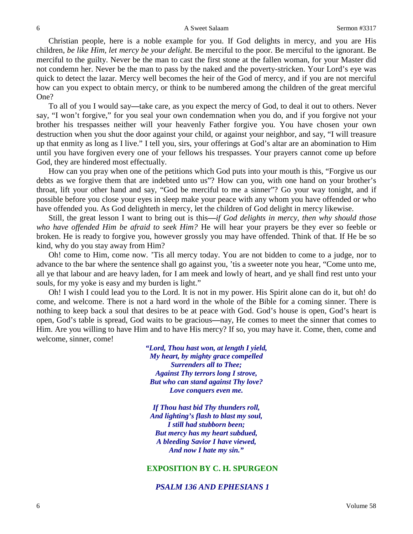Christian people, here is a noble example for you. If God delights in mercy, and you are His children, *be like Him, let mercy be your delight.* Be merciful to the poor. Be merciful to the ignorant. Be merciful to the guilty. Never be the man to cast the first stone at the fallen woman, for your Master did not condemn her. Never be the man to pass by the naked and the poverty-stricken. Your Lord's eye was quick to detect the lazar. Mercy well becomes the heir of the God of mercy, and if you are not merciful how can you expect to obtain mercy, or think to be numbered among the children of the great merciful One?

To all of you I would say**—**take care, as you expect the mercy of God, to deal it out to others. Never say, "I won't forgive," for you seal your own condemnation when you do, and if you forgive not your brother his trespasses neither will your heavenly Father forgive you. You have chosen your own destruction when you shut the door against your child, or against your neighbor, and say, "I will treasure up that enmity as long as I live." I tell you, sirs, your offerings at God's altar are an abomination to Him until you have forgiven every one of your fellows his trespasses. Your prayers cannot come up before God, they are hindered most effectually.

How can you pray when one of the petitions which God puts into your mouth is this, "Forgive us our debts as we forgive them that are indebted unto us"? How can you, with one hand on your brother's throat, lift your other hand and say, "God be merciful to me a sinner"? Go your way tonight, and if possible before you close your eyes in sleep make your peace with any whom you have offended or who have offended you. As God delighteth in mercy, let the children of God delight in mercy likewise.

Still, the great lesson I want to bring out is this**—***if God delights in mercy, then why should those who have offended Him be afraid to seek Him?* He will hear your prayers be they ever so feeble or broken. He is ready to forgive you, however grossly you may have offended. Think of that. If He be so kind, why do you stay away from Him?

Oh! come to Him, come now. 'Tis all mercy today. You are not bidden to come to a judge, nor to advance to the bar where the sentence shall go against you, 'tis a sweeter note you hear, "Come unto me, all ye that labour and are heavy laden, for I am meek and lowly of heart, and ye shall find rest unto your souls, for my yoke is easy and my burden is light."

Oh! I wish I could lead you to the Lord. It is not in my power. His Spirit alone can do it, but oh! do come, and welcome. There is not a hard word in the whole of the Bible for a coming sinner. There is nothing to keep back a soul that desires to be at peace with God. God's house is open, God's heart is open, God's table is spread, God waits to be gracious**—**nay, He comes to meet the sinner that comes to Him. Are you willing to have Him and to have His mercy? If so, you may have it. Come, then, come and welcome, sinner, come!

> *"Lord, Thou hast won, at length I yield, My heart, by mighty grace compelled Surrenders all to Thee; Against Thy terrors long I strove, But who can stand against Thy love? Love conquers even me.*

*If Thou hast bid Thy thunders roll, And lighting's flash to blast my soul, I still had stubborn been; But mercy has my heart subdued, A bleeding Savior I have viewed, And now I hate my sin."*

#### **EXPOSITION BY C. H. SPURGEON**

#### *PSALM 136 AND EPHESIANS 1*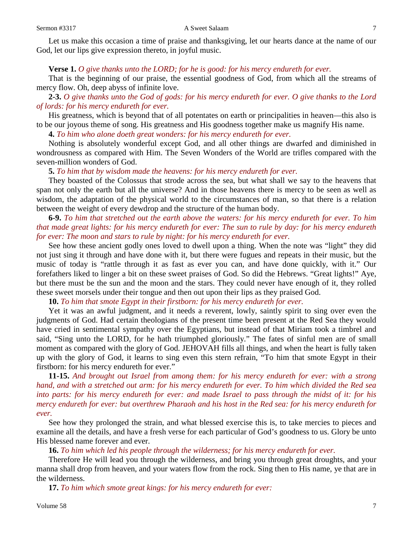#### Sermon #3317 **A** Sweet Salaam 7

Let us make this occasion a time of praise and thanksgiving, let our hearts dance at the name of our God, let our lips give expression thereto, in joyful music.

#### **Verse 1.** *O give thanks unto the LORD; for he is good: for his mercy endureth for ever.*

That is the beginning of our praise, the essential goodness of God, from which all the streams of mercy flow. Oh, deep abyss of infinite love.

**2-3.** *O give thanks unto the God of gods: for his mercy endureth for ever. O give thanks to the Lord of lords: for his mercy endureth for ever.*

His greatness, which is beyond that of all potentates on earth or principalities in heaven—this also is to be our joyous theme of song. His greatness and His goodness together make us magnify His name.

**4.** *To him who alone doeth great wonders: for his mercy endureth for ever.*

Nothing is absolutely wonderful except God, and all other things are dwarfed and diminished in wondrousness as compared with Him. The Seven Wonders of the World are trifles compared with the seven-million wonders of God.

**5.** *To him that by wisdom made the heavens: for his mercy endureth for ever.*

They boasted of the Colossus that strode across the sea, but what shall we say to the heavens that span not only the earth but all the universe? And in those heavens there is mercy to be seen as well as wisdom, the adaptation of the physical world to the circumstances of man, so that there is a relation between the weight of every dewdrop and the structure of the human body.

**6-9.** *To him that stretched out the earth above the waters: for his mercy endureth for ever. To him that made great lights: for his mercy endureth for ever: The sun to rule by day: for his mercy endureth for ever: The moon and stars to rule by night: for his mercy endureth for ever.*

See how these ancient godly ones loved to dwell upon a thing. When the note was "light" they did not just sing it through and have done with it, but there were fugues and repeats in their music, but the music of today is "rattle through it as fast as ever you can, and have done quickly, with it." Our forefathers liked to linger a bit on these sweet praises of God. So did the Hebrews. "Great lights!" Aye, but there must be the sun and the moon and the stars. They could never have enough of it, they rolled these sweet morsels under their tongue and then out upon their lips as they praised God.

**10.** *To him that smote Egypt in their firstborn: for his mercy endureth for ever.*

Yet it was an awful judgment, and it needs a reverent, lowly, saintly spirit to sing over even the judgments of God. Had certain theologians of the present time been present at the Red Sea they would have cried in sentimental sympathy over the Egyptians, but instead of that Miriam took a timbrel and said, "Sing unto the LORD, for he hath triumphed gloriously." The fates of sinful men are of small moment as compared with the glory of God. JEHOVAH fills all things, and when the heart is fully taken up with the glory of God, it learns to sing even this stern refrain, "To him that smote Egypt in their firstborn: for his mercy endureth for ever."

**11-15.** *And brought out Israel from among them: for his mercy endureth for ever: with a strong hand, and with a stretched out arm: for his mercy endureth for ever. To him which divided the Red sea into parts: for his mercy endureth for ever: and made Israel to pass through the midst of it: for his mercy endureth for ever: but overthrew Pharaoh and his host in the Red sea: for his mercy endureth for ever.*

See how they prolonged the strain, and what blessed exercise this is, to take mercies to pieces and examine all the details, and have a fresh verse for each particular of God's goodness to us. Glory be unto His blessed name forever and ever.

**16.** *To him which led his people through the wilderness; for his mercy endureth for ever.*

Therefore He will lead you through the wilderness, and bring you through great droughts, and your manna shall drop from heaven, and your waters flow from the rock. Sing then to His name, ye that are in the wilderness.

**17.** *To him which smote great kings: for his mercy endureth for ever:*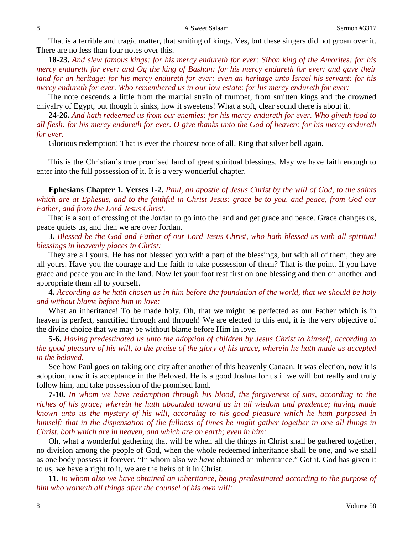That is a terrible and tragic matter, that smiting of kings. Yes, but these singers did not groan over it. There are no less than four notes over this.

**18-23.** *And slew famous kings: for his mercy endureth for ever: Sihon king of the Amorites: for his mercy endureth for ever: and Og the king of Bashan: for his mercy endureth for ever: and gave their land for an heritage: for his mercy endureth for ever: even an heritage unto Israel his servant: for his mercy endureth for ever. Who remembered us in our low estate: for his mercy endureth for ever:*

The note descends a little from the martial strain of trumpet, from smitten kings and the drowned chivalry of Egypt, but though it sinks, how it sweetens! What a soft, clear sound there is about it.

**24-26.** *And hath redeemed us from our enemies: for his mercy endureth for ever. Who giveth food to all flesh: for his mercy endureth for ever. O give thanks unto the God of heaven: for his mercy endureth for ever.*

Glorious redemption! That is ever the choicest note of all. Ring that silver bell again.

This is the Christian's true promised land of great spiritual blessings. May we have faith enough to enter into the full possession of it. It is a very wonderful chapter.

**Ephesians Chapter 1. Verses 1-2.** *Paul, an apostle of Jesus Christ by the will of God, to the saints which are at Ephesus, and to the faithful in Christ Jesus: grace be to you, and peace, from God our Father, and from the Lord Jesus Christ.*

That is a sort of crossing of the Jordan to go into the land and get grace and peace. Grace changes us, peace quiets us, and then we are over Jordan.

**3.** *Blessed be the God and Father of our Lord Jesus Christ, who hath blessed us with all spiritual blessings in heavenly places in Christ:*

They are all yours. He has not blessed you with a part of the blessings, but with all of them, they are all yours. Have you the courage and the faith to take possession of them? That is the point. If you have grace and peace you are in the land. Now let your foot rest first on one blessing and then on another and appropriate them all to yourself.

**4.** *According as he hath chosen us in him before the foundation of the world, that we should be holy and without blame before him in love:*

What an inheritance! To be made holy. Oh, that we might be perfected as our Father which is in heaven is perfect, sanctified through and through! We are elected to this end, it is the very objective of the divine choice that we may be without blame before Him in love.

**5-6.** *Having predestinated us unto the adoption of children by Jesus Christ to himself, according to the good pleasure of his will, to the praise of the glory of his grace, wherein he hath made us accepted in the beloved.*

See how Paul goes on taking one city after another of this heavenly Canaan. It was election, now it is adoption, now it is acceptance in the Beloved. He is a good Joshua for us if we will but really and truly follow him, and take possession of the promised land.

**7-10.** *In whom we have redemption through his blood, the forgiveness of sins, according to the riches of his grace; wherein he hath abounded toward us in all wisdom and prudence; having made known unto us the mystery of his will, according to his good pleasure which he hath purposed in himself: that in the dispensation of the fullness of times he might gather together in one all things in Christ, both which are in heaven, and which are on earth; even in him:*

Oh, what a wonderful gathering that will be when all the things in Christ shall be gathered together, no division among the people of God, when the whole redeemed inheritance shall be one, and we shall as one body possess it forever. "In whom also we *have* obtained an inheritance." Got it. God has given it to us, we have a right to it, we are the heirs of it in Christ.

**11.** *In whom also we have obtained an inheritance, being predestinated according to the purpose of him who worketh all things after the counsel of his own will:*